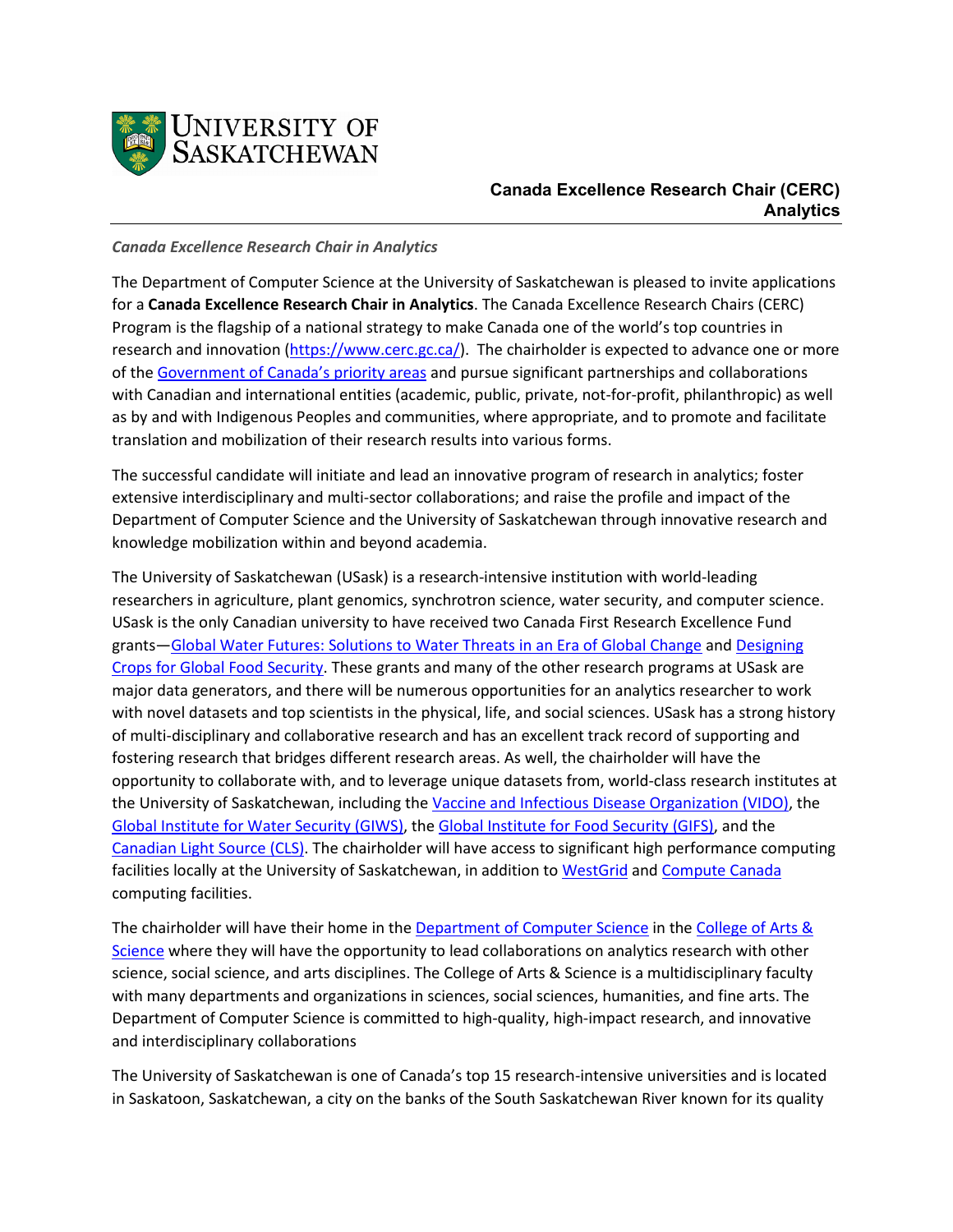

# **Canada Excellence Research Chair (CERC) Analytics**

### *Canada Excellence Research Chair in Analytics*

The Department of Computer Science at the University of Saskatchewan is pleased to invite applications for a **Canada Excellence Research Chair in Analytics**. The Canada Excellence Research Chairs (CERC) Program is the flagship of a national strategy to make Canada one of the world's top countries in research and innovation [\(https://www.cerc.gc.ca/\)](https://www.cerc.gc.ca/home-accueil-eng.aspx). The chairholder is expected to advance one or more of the [Government of Canada's priority areas](https://www.cerc.gc.ca/program-programme/priority_areas-domaines_prioritaires-eng.aspx) and pursue significant partnerships and collaborations with Canadian and international entities (academic, public, private, not-for-profit, philanthropic) as well as by and with Indigenous Peoples and communities, where appropriate, and to promote and facilitate translation and mobilization of their research results into various forms.

The successful candidate will initiate and lead an innovative program of research in analytics; foster extensive interdisciplinary and multi-sector collaborations; and raise the profile and impact of the Department of Computer Science and the University of Saskatchewan through innovative research and knowledge mobilization within and beyond academia.

The University of Saskatchewan (USask) is a research-intensive institution with world-leading researchers in agriculture, plant genomics, synchrotron science, water security, and computer science. USask is the only Canadian university to have received two Canada First Research Excellence Fund grants[—Global Water Futures: Solutions to Water Threats in an Era of Global Change](https://gwf.usask.ca/) and [Designing](https://p2irc.usask.ca/)  [Crops for Global Food Security.](https://p2irc.usask.ca/) These grants and many of the other research programs at USask are major data generators, and there will be numerous opportunities for an analytics researcher to work with novel datasets and top scientists in the physical, life, and social sciences. USask has a strong history of multi-disciplinary and collaborative research and has an excellent track record of supporting and fostering research that bridges different research areas. As well, the chairholder will have the opportunity to collaborate with, and to leverage unique datasets from, world-class research institutes at the University of Saskatchewan, including th[e Vaccine and Infectious Disease Organization \(VIDO\),](https://www.vido.org/) the [Global Institute for Water Security \(GIWS\),](https://water.usask.ca/) the [Global Institute for Food Security \(GIFS\),](https://www.gifs.ca/) and the [Canadian Light Source \(CLS\).](https://www.lightsource.ca/) The chairholder will have access to significant high performance computing facilities locally at the University of Saskatchewan, in addition to [WestGrid](https://www.westgrid.ca/) and [Compute Canada](https://www.computecanada.ca/) computing facilities.

The chairholder will have their home in the [Department of Computer Science](https://www.cs.usask.ca/) in the [College of Arts &](https://artsandscience.usask.ca/research/)  [Science](https://artsandscience.usask.ca/research/) where they will have the opportunity to lead collaborations on analytics research with other science, social science, and arts disciplines. The College of Arts & Science is a multidisciplinary faculty with many departments and organizations in sciences, social sciences, humanities, and fine arts. The Department of Computer Science is committed to high-quality, high-impact research, and innovative and interdisciplinary collaborations

The University of Saskatchewan is one of Canada's top 15 research-intensive universities and is located in Saskatoon, Saskatchewan, a city on the banks of the South Saskatchewan River known for its quality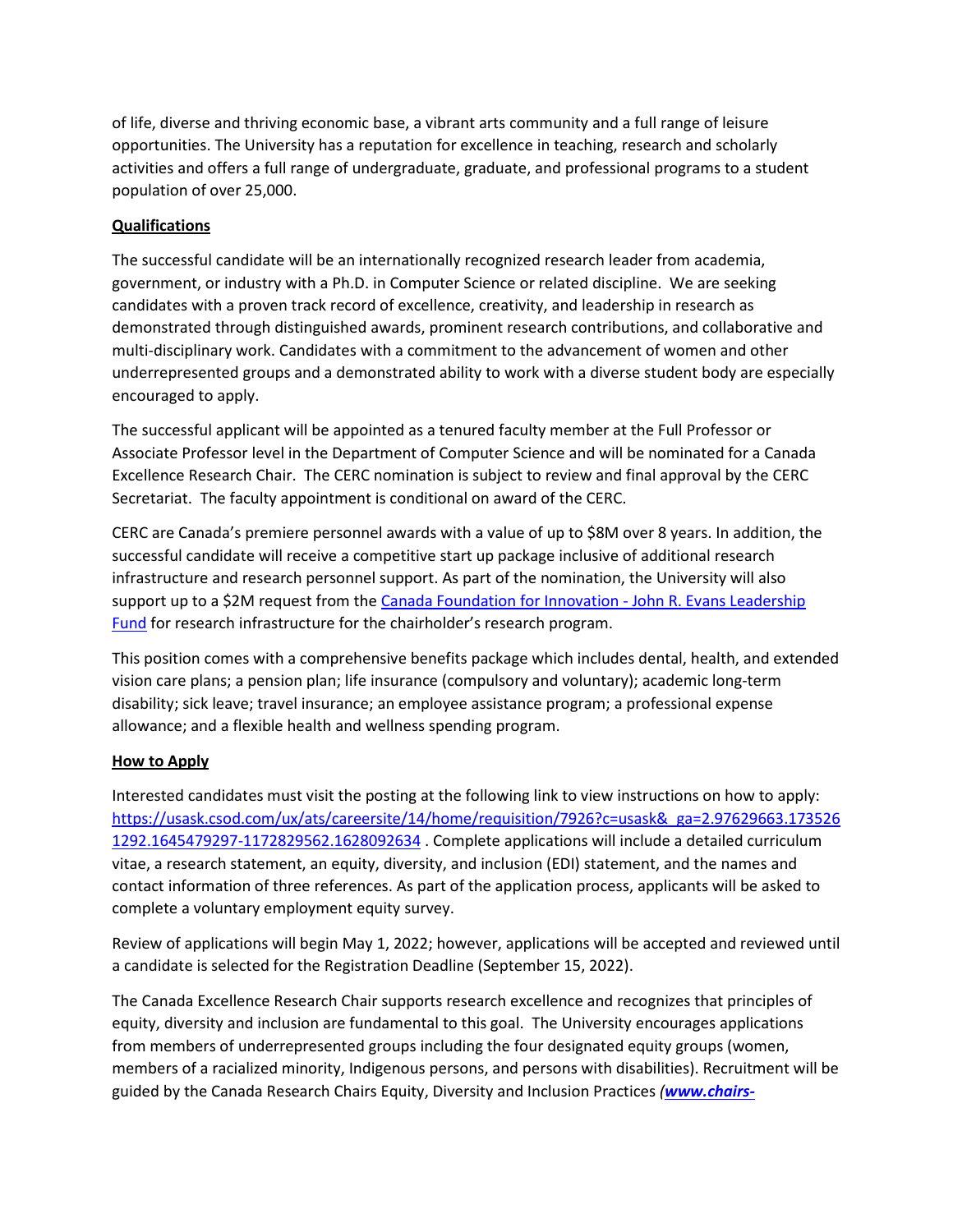of life, diverse and thriving economic base, a vibrant arts community and a full range of leisure opportunities. The University has a reputation for excellence in teaching, research and scholarly activities and offers a full range of undergraduate, graduate, and professional programs to a student population of over 25,000.

## **Qualifications**

The successful candidate will be an internationally recognized research leader from academia, government, or industry with a Ph.D. in Computer Science or related discipline. We are seeking candidates with a proven track record of excellence, creativity, and leadership in research as demonstrated through distinguished awards, prominent research contributions, and collaborative and multi-disciplinary work. Candidates with a commitment to the advancement of women and other underrepresented groups and a demonstrated ability to work with a diverse student body are especially encouraged to apply.

The successful applicant will be appointed as a tenured faculty member at the Full Professor or Associate Professor level in the Department of Computer Science and will be nominated for a Canada Excellence Research Chair. The CERC nomination is subject to review and final approval by the CERC Secretariat. The faculty appointment is conditional on award of the CERC.

CERC are Canada's premiere personnel awards with a value of up to \$8M over 8 years. In addition, the successful candidate will receive a competitive start up package inclusive of additional research infrastructure and research personnel support. As part of the nomination, the University will also support up to a \$2M request from the [Canada Foundation for Innovation -](https://www.innovation.ca/apply-manage-awards/funding-opportunities/john-r-evans-leaders-fund#nav-crccercpartnership) John R. Evans Leadership [Fund](https://www.innovation.ca/apply-manage-awards/funding-opportunities/john-r-evans-leaders-fund#nav-crccercpartnership) for research infrastructure for the chairholder's research program.

This position comes with a comprehensive benefits package which includes dental, health, and extended vision care plans; a pension plan; life insurance (compulsory and voluntary); academic long-term disability; sick leave; travel insurance; an employee assistance program; a professional expense allowance; and a flexible health and wellness spending program.

## **How to Apply**

Interested candidates must visit the posting at the following link to view instructions on how to apply: [https://usask.csod.com/ux/ats/careersite/14/home/requisition/7926?c=usask&\\_ga=2.97629663.173526](https://usask.csod.com/ux/ats/careersite/14/home/requisition/7926?c=usask&_ga=2.97629663.1735261292.1645479297-1172829562.1628092634) [1292.1645479297-1172829562.1628092634](https://usask.csod.com/ux/ats/careersite/14/home/requisition/7926?c=usask&_ga=2.97629663.1735261292.1645479297-1172829562.1628092634) . Complete applications will include a detailed curriculum vitae, a research statement, an equity, diversity, and inclusion (EDI) statement, and the names and contact information of three references. As part of the application process, applicants will be asked to complete a voluntary employment equity survey.

Review of applications will begin May 1, 2022; however, applications will be accepted and reviewed until a candidate is selected for the Registration Deadline (September 15, 2022).

The Canada Excellence Research Chair supports research excellence and recognizes that principles of equity, diversity and inclusion are fundamental to this goal. The University encourages applications from members of underrepresented groups including the four designated equity groups (women, members of a racialized minority, Indigenous persons, and persons with disabilities). Recruitment will be guided by the Canada Research Chairs Equity, Diversity and Inclusion Practices *([www.chairs-](http://www.chairs-chaires.gc.ca/program-programme/equity-equite/index-eng.aspx)*